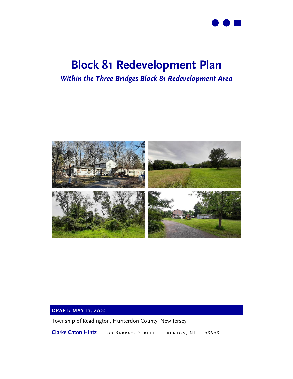

# **Block 81 Redevelopment Plan**

# *Within the Three Bridges Block 81 Redevelopment Area*



#### **DRAFT: MAY 11, 2022**

Township of Readington, Hunterdon County, New Jersey

Clarke Caton Hintz | 100 BARRACK STREET | TRENTON, NJ | 08608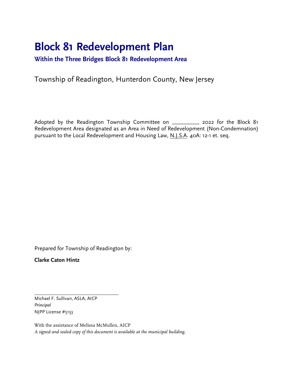# **Block 81 Redevelopment Plan**

**Within the Three Bridges Block 81 Redevelopment Area**

# Township of Readington, Hunterdon County, New Jersey

Adopted by the Readington Township Committee on \_\_\_\_\_\_\_\_\_, 2022 for the Block 81 Redevelopment Area designated as an Area in Need of Redevelopment (Non-Condemnation) pursuant to the Local Redevelopment and Housing Law, N.J.S.A. 40A: 12-1 et. seq.

Prepared for Township of Readington by:

**Clarke Caton Hintz**

Michael F. Sullivan, ASLA, AICP *Principal* NJPP License #5153

With the assistance of Melissa McMullen, AICP *A signed and sealed copy of this document is available at the municipal building.*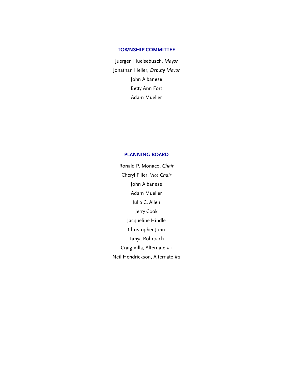#### **TOWNSHIP COMMITTEE**

Juergen Huelsebusch, *Mayor* Jonathan Heller, *Deputy Mayor* John Albanese Betty Ann Fort Adam Mueller

#### **PLANNING BOARD**

Ronald P. Monaco, *Chair* Cheryl Filler, *Vice Chair* John Albanese Adam Mueller Julia C. Allen Jerry Cook Jacqueline Hindle Christopher John Tanya Rohrbach Craig Villa, Alternate #1 Neil Hendrickson, Alternate #2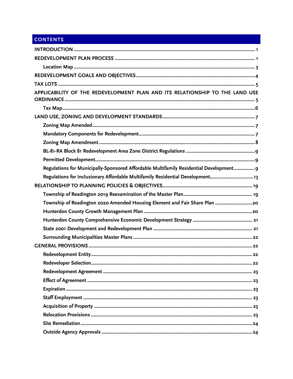# **CONTENTS**

| APPLICABILITY OF THE REDEVELOPMENT PLAN AND ITS RELATIONSHIP TO THE LAND USE           |
|----------------------------------------------------------------------------------------|
|                                                                                        |
|                                                                                        |
|                                                                                        |
|                                                                                        |
|                                                                                        |
|                                                                                        |
|                                                                                        |
| Regulations for Municipally-Sponsored Affordable Multifamily Residential Development 9 |
| Regulations for Inclusionary Affordable Multifamily Residential Development13          |
|                                                                                        |
|                                                                                        |
| Township of Readington 2020 Amended Housing Element and Fair Share Plan 20             |
|                                                                                        |
|                                                                                        |
|                                                                                        |
|                                                                                        |
|                                                                                        |
|                                                                                        |
|                                                                                        |
|                                                                                        |
|                                                                                        |
|                                                                                        |
|                                                                                        |
|                                                                                        |
|                                                                                        |
|                                                                                        |
|                                                                                        |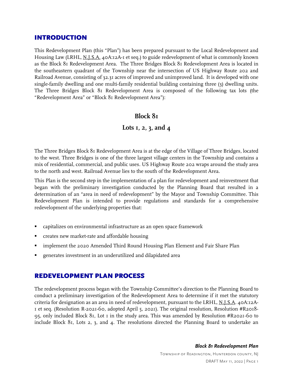### <span id="page-5-0"></span>INTRODUCTION

This Redevelopment Plan (this "Plan") has been prepared pursuant to the Local Redevelopment and Housing Law (LRHL, N.J.S.A. 40A:12A-1 et seq.) to guide redevelopment of what is commonly known as the Block 81 Redevelopment Area. The Three Bridges Block 81 Redevelopment Area is located in the southeastern quadrant of the Township near the intersection of US Highway Route 202 and Railroad Avenue, consisting of 32.31 acres of improved and unimproved land. It is developed with one single-family dwelling and one multi-family residential building containing three (3) dwelling units. The Three Bridges Block 81 Redevelopment Area is composed of the following tax lots (the "Redevelopment Area" or "Block 81 Redevelopment Area"):

#### **Block 81**

## **Lots 1, 2, 3, and 4**

The Three Bridges Block 81 Redevelopment Area is at the edge of the Village of Three Bridges, located to the west. Three Bridges is one of the three largest village centers in the Township and contains a mix of residential, commercial, and public uses. US Highway Route 202 wraps around the study area to the north and west. Railroad Avenue lies to the south of the Redevelopment Area.

This Plan is the second step in the implementation of a plan for redevelopment and reinvestment that began with the preliminary investigation conducted by the Planning Board that resulted in a determination of an "area in need of redevelopment" by the Mayor and Township Committee. This Redevelopment Plan is intended to provide regulations and standards for a comprehensive redevelopment of the underlying properties that:

- capitalizes on environmental infrastructure as an open space framework
- creates new market-rate and affordable housing
- implement the 2020 Amended Third Round Housing Plan Element and Fair Share Plan
- generates investment in an underutilized and dilapidated area

### <span id="page-5-1"></span>REDEVELOPMENT PLAN PROCESS

The redevelopment process began with the Township Committee's direction to the Planning Board to conduct a preliminary investigation of the Redevelopment Area to determine if it met the statutory criteria for designation as an area in need of redevelopment, pursuant to the LRHL, N.J.S.A. 40A:12A-1 et seq. (Resolution R-2021-60, adopted April 5, 2021). The original resolution, Resolution #R2018- 95, only included Block 81, Lot 1 in the study area. This was amended by Resolution #R2021-60 to include Block 81, Lots 2, 3, and 4. The resolutions directed the Planning Board to undertake an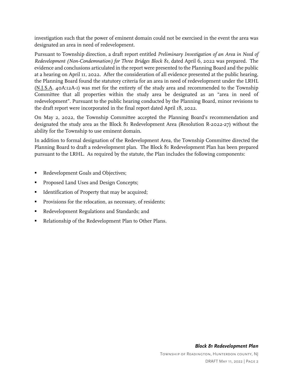investigation such that the power of eminent domain could not be exercised in the event the area was designated an area in need of redevelopment.

Pursuant to Township direction, a draft report entitled *Preliminary Investigation of an Area in Need of Redevelopment (Non-Condemnation) for Three Bridges Block 81*, dated April 6, 2022 was prepared. The evidence and conclusions articulated in the report were presented to the Planning Board and the public at a hearing on April 11, 2022. After the consideration of all evidence presented at the public hearing, the Planning Board found the statutory criteria for an area in need of redevelopment under the LRHL (N.J.S.A. 40A:12A-1) was met for the entirety of the study area and recommended to the Township Committee that all properties within the study area be designated as an "area in need of redevelopment". Pursuant to the public hearing conducted by the Planning Board, minor revisions to the draft report were incorporated in the final report dated April 18, 2022.

On May 2, 2022, the Township Committee accepted the Planning Board's recommendation and designated the study area as the Block 81 Redevelopment Area (Resolution R-2022-27) without the ability for the Township to use eminent domain.

In addition to formal designation of the Redevelopment Area, the Township Committee directed the Planning Board to draft a redevelopment plan. The Block 81 Redevelopment Plan has been prepared pursuant to the LRHL. As required by the statute, the Plan includes the following components:

- Redevelopment Goals and Objectives;
- Proposed Land Uses and Design Concepts;
- **IDENTIFICATION I** Identification of Property that may be acquired;
- Provisions for the relocation, as necessary, of residents;
- Redevelopment Regulations and Standards; and
- Relationship of the Redevelopment Plan to Other Plans.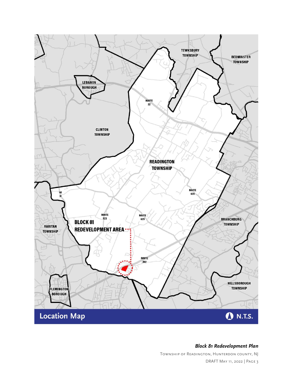<span id="page-7-0"></span>

*Block 81 Redevelopment Plan*

Township of Readington, Hunterdon county, NJ DRAFT May 11, 2022 | Page 3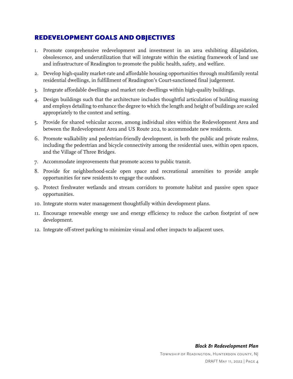# <span id="page-8-0"></span>REDEVELOPMENT GOALS AND OBJECTIVES

- 1. Promote comprehensive redevelopment and investment in an area exhibiting dilapidation, obsolescence, and underutilization that will integrate within the existing framework of land use and infrastructure of Readington to promote the public health, safety, and welfare.
- 2. Develop high-quality market-rate and affordable housing opportunities through multifamily rental residential dwellings, in fulfillment of Readington's Court-sanctioned final judgement.
- 3. Integrate affordable dwellings and market rate dwellings within high-quality buildings.
- 4. Design buildings such that the architecture includes thoughtful articulation of building massing and employs detailing to enhance the degree to which the length and height of buildings are scaled appropriately to the context and setting.
- 5. Provide for shared vehicular access, among individual sites within the Redevelopment Area and between the Redevelopment Area and US Route 202, to accommodate new residents.
- 6. Promote walkability and pedestrian-friendly development, in both the public and private realms, including the pedestrian and bicycle connectivity among the residential uses, within open spaces, and the Village of Three Bridges.
- 7. Accommodate improvements that promote access to public transit.
- 8. Provide for neighborhood-scale open space and recreational amenities to provide ample opportunities for new residents to engage the outdoors.
- 9. Protect freshwater wetlands and stream corridors to promote habitat and passive open space opportunities.
- 10. Integrate storm water management thoughtfully within development plans.
- 11. Encourage renewable energy use and energy efficiency to reduce the carbon footprint of new development.
- 12. Integrate off-street parking to minimize visual and other impacts to adjacent uses.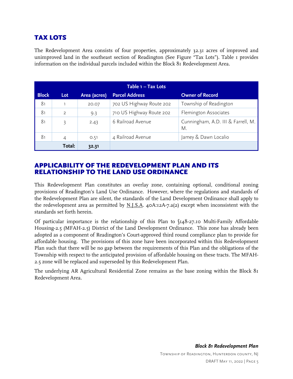# <span id="page-9-0"></span>TAX LOTS

The Redevelopment Area consists of four properties, approximately 32.31 acres of improved and unimproved land in the southeast section of Readington (See Figure "Tax Lots"). Table 1 provides information on the individual parcels included within the Block 81 Redevelopment Area.

| Table 1 - Tax Lots |                |              |                          |                                          |  |
|--------------------|----------------|--------------|--------------------------|------------------------------------------|--|
| <b>Block</b>       | Lot            | Area (acres) | <b>Parcel Address</b>    | <b>Owner of Record</b>                   |  |
| 81                 |                | 20.07        | 702 US Highway Route 202 | Township of Readington                   |  |
| 81                 | $\overline{2}$ | 9.3          | 710 US Highway Route 202 | Flemington Associates                    |  |
| 81                 | 3              | 2.43         | 6 Railroad Avenue        | Cunningham, A.D. III & Farrell, M.<br>M. |  |
| 81                 | 4              | 0.51         | 4 Railroad Avenue        | Jamey & Dawn Localio                     |  |
|                    | Total:         | 32.31        |                          |                                          |  |

## <span id="page-9-1"></span>APPLICABILITY OF THE REDEVELOPMENT PLAN AND ITS RELATIONSHIP TO THE LAND USE ORDINANCE

This Redevelopment Plan constitutes an overlay zone, containing optional, conditional zoning provisions of Readington's Land Use Ordinance. However, where the regulations and standards of the Redevelopment Plan are silent, the standards of the Land Development Ordinance shall apply to the redevelopment area as permitted by  $N.I.S.A.$  40A:12A-7.a(2) except when inconsistent with the standards set forth herein.

Of particular importance is the relationship of this Plan to  $\sqrt{148.27.10}$  Multi-Family Affordable Housing-2.5 (MFAH-2.5) District of the Land Development Ordinance. This zone has already been adopted as a component of Readington's Court-approved third round compliance plan to provide for affordable housing. The provisions of this zone have been incorporated within this Redevelopment Plan such that there will be no gap between the requirements of this Plan and the obligations of the Township with respect to the anticipated provision of affordable housing on these tracts. The MFAH-2.5 zone will be replaced and superseded by this Redevelopment Plan.

The underlying AR Agricultural Residential Zone remains as the base zoning within the Block 81 Redevelopment Area.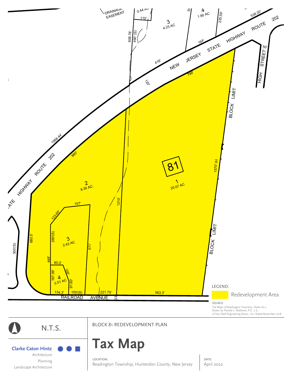<span id="page-10-0"></span>



#### LOCATION:

Readington Township, Hunterdon County, New Jersey

DATE: April 2022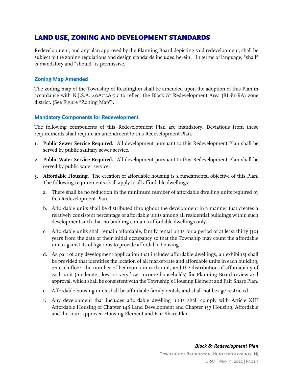# <span id="page-11-0"></span>LAND USE, ZONING AND DEVELOPMENT STANDARDS

Redevelopment, and any plan approved by the Planning Board depicting said redevelopment, shall be subject to the zoning regulations and design standards included herein. In terms of language, "shall" is mandatory and "should" is permissive.

#### <span id="page-11-1"></span>**Zoning Map Amended**

The zoning map of the Township of Readington shall be amended upon the adoption of this Plan in accordance with N.J.S.A. 40A:12A-7.c to reflect the Block 81 Redevelopment Area (BL-81-RA) zone district. (See Figure "Zoning Map").

#### <span id="page-11-2"></span>**Mandatory Components for Redevelopment**

The following components of this Redevelopment Plan are mandatory. Deviations from these requirements shall require an amendment to this Redevelopment Plan.

- **1. Public Sewer Service Required.** All development pursuant to this Redevelopment Plan shall be served by public sanitary sewer service.
- **2. Public Water Service Required.** All development pursuant to this Redevelopment Plan shall be served by public water service.
- **3. Affordable Housing.** The creation of affordable housing is a fundamental objective of this Plan. The following requirements shall apply to all affordable dwellings:
	- a. There shall be no reduction in the minimum number of affordable dwelling units required by this Redevelopment Plan.
	- b. Affordable units shall be distributed throughout the development in a manner that creates a relatively consistent percentage of affordable units among all residential buildings within such development such that no building contains affordable dwellings only.
	- c. Affordable units shall remain affordable, family rental units for a period of at least thirty (30) years from the date of their initial occupancy so that the Township may count the affordable units against its obligations to provide affordable housing.
	- d. As part of any development application that includes affordable dwellings, an exhibit(s) shall be provided that identifies the location of all market-rate and affordable units in each building, on each floor, the number of bedrooms in each unit, and the distribution of affordability of each unit (moderate-, low- or very low- income households) for Planning Board review and approval, which shall be consistent with the Township's Housing Element and Fair Share Plan.
	- e. Affordable housing units shall be affordable family rentals and shall not be age-restricted.
	- f. Any development that includes affordable dwelling units shall comply with Article XIII Affordable Housing of Chapter 148 Land Development and Chapter 137 Housing, Affordable and the court-approved Housing Element and Fair Share Plan.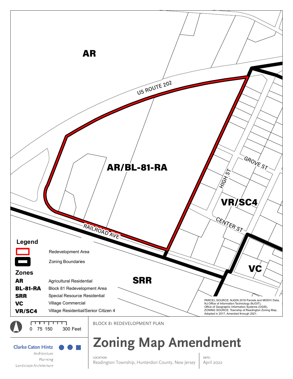<span id="page-12-0"></span>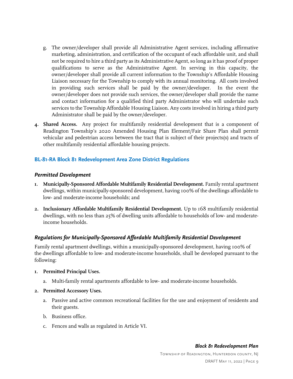- g. The owner/developer shall provide all Administrative Agent services, including affirmative marketing, administration, and certification of the occupant of each affordable unit, and shall not be required to hire a third party as its Administrative Agent, so long as it has proof of proper qualifications to serve as the Administrative Agent. In serving in this capacity, the owner/developer shall provide all current information to the Township's Affordable Housing Liaison necessary for the Township to comply with its annual monitoring. All costs involved in providing such services shall be paid by the owner/developer. In the event the owner/developer does not provide such services, the owner/developer shall provide the name and contact information for a qualified third party Administrator who will undertake such services to the Township Affordable Housing Liaison. Any costs involved in hiring a third party Administrator shall be paid by the owner/developer.
- **4. Shared Access.** Any project for multifamily residential development that is a component of Readington Township's 2020 Amended Housing Plan Element/Fair Share Plan shall permit vehicular and pedestrian access between the tract that is subject of their projects(s) and tracts of other multifamily residential affordable housing projects.

#### <span id="page-13-0"></span>**BL-81-RA Block 81 Redevelopment Area Zone District Regulations**

#### <span id="page-13-1"></span>*Permitted Development*

- **1. Municipally-Sponsored Affordable Multifamily Residential Development.** Family rental apartment dwellings, within municipally-sponsored development, having 100% of the dwellings affordable to low- and moderate-income households; and
- **2. Inclusionary Affordable Multifamily Residential Development.** Up to 168 multifamily residential dwellings, with no less than 25% of dwelling units affordable to households of low- and moderateincome households.

#### <span id="page-13-2"></span>*Regulations for Municipally-Sponsored Affordable Multifamily Residential Development*

Family rental apartment dwellings, within a municipally-sponsored development, having 100% of the dwellings affordable to low- and moderate-income households, shall be developed pursuant to the following:

#### **1. Permitted Principal Uses.**

a. Multi-family rental apartments affordable to low- and moderate-income households.

#### **2. Permitted Accessory Uses.**

- a. Passive and active common recreational facilities for the use and enjoyment of residents and their guests.
- b. Business office.
- c. Fences and walls as regulated in Article VI.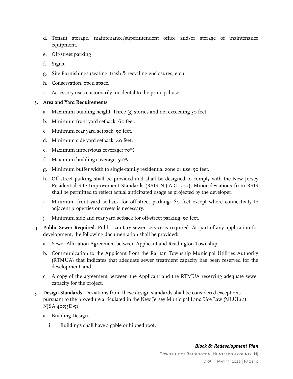- d. Tenant storage, maintenance/superintendent office and/or storage of maintenance equipment.
- e. Off-street parking
- f. Signs.
- g. Site Furnishings (seating, trash & recycling enclosures, etc.)
- h. Conservation, open space.
- i. Accessory uses customarily incidental to the principal use.

#### **3. Area and Yard Requirements**

- a. Maximum building height: Three (3) stories and not exceeding 50 feet.
- b. Minimum front yard setback: 60 feet.
- c. Minimum rear yard setback: 50 feet.
- d. Minimum side yard setback: 40 feet.
- e. Maximum impervious coverage: 70%
- f. Maximum building coverage: 50%
- g. Minimum buffer width to single-family residential zone or use: 50 feet.
- h. Off-street parking shall be provided and shall be designed to comply with the New Jersey Residential Site Improvement Standards (RSIS N.J.A.C. 5:21). Minor deviations from RSIS shall be permitted to reflect actual anticipated usage as projected by the developer.
- i. Minimum front yard setback for off-street parking: 60 feet except where connectivity to adjacent properties or streets is necessary.
- j. Minimum side and rear yard setback for off-street parking: 50 feet.
- **4. Public Sewer Required.** Public sanitary sewer service is required. As part of any application for development, the following documentation shall be provided:
	- a. Sewer Allocation Agreement between Applicant and Readington Township;
	- b. Communication to the Applicant from the Raritan Township Municipal Utilities Authority (RTMUA) that indicates that adequate sewer treatment capacity has been reserved for the development; and
	- c. A copy of the agreement between the Applicant and the RTMUA reserving adequate sewer capacity for the project.
- **5. Design Standards.** Deviations from these design standards shall be considered exceptions pursuant to the procedure articulated in the New Jersey Municipal Land Use Law (MLUL) at NJSA 40:55D-51.
	- a. Building Design.
		- i. Buildings shall have a gable or hipped roof.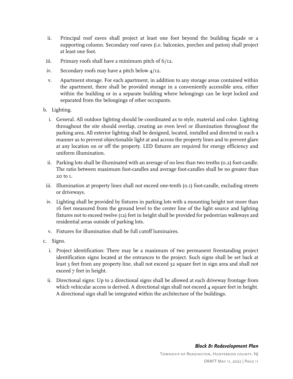- ii. Principal roof eaves shall project at least one foot beyond the building façade or a supporting column. Secondary roof eaves (i.e. balconies, porches and patios) shall project at least one foot.
- iii. Primary roofs shall have a minimum pitch of 6/12.
- iv. Secondary roofs may have a pitch below 4/12.
- v. Apartment storage. For each apartment, in addition to any storage areas contained within the apartment, there shall be provided storage in a conveniently accessible area, either within the building or in a separate building where belongings can be kept locked and separated from the belongings of other occupants.
- b. Lighting.
	- i. General. All outdoor lighting should be coordinated as to style, material and color. Lighting throughout the site should overlap, creating an even level or illumination throughout the parking area. All exterior lighting shall be designed, located, installed and directed in such a manner as to prevent objectionable light at and across the property lines and to prevent glare at any location on or off the property. LED fixtures are required for energy efficiency and uniform illumination.
	- ii. Parking lots shall be illuminated with an average of no less than two tenths (0.2) foot-candle. The ratio between maximum foot-candles and average foot-candles shall be no greater than 20 to 1.
- iii. Illumination at property lines shall not exceed one-tenth (0.1) foot-candle, excluding streets or driveways.
- iv. Lighting shall be provided by fixtures in parking lots with a mounting height not more than 16 feet measured from the ground level to the center line of the light source and lighting fixtures not to exceed twelve (12) feet in height shall be provided for pedestrian walkways and residential areas outside of parking lots.
- v. Fixtures for illumination shall be full cutoff luminaires.
- c. Signs.
	- i. Project identification: There may be a maximum of two permanent freestanding project identification signs located at the entrances to the project. Such signs shall be set back at least 3 feet from any property line, shall not exceed 32 square feet in sign area and shall not exceed 7 feet in height.
	- ii. Directional signs: Up to 2 directional signs shall be allowed at each driveway frontage from which vehicular access is derived. A directional sign shall not exceed 4 square feet in height. A directional sign shall be integrated within the architecture of the buildings.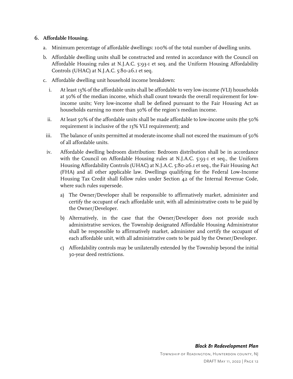#### **6. Affordable Housing.**

- a. Minimum percentage of affordable dwellings: 100% of the total number of dwelling units.
- b. Affordable dwelling units shall be constructed and rented in accordance with the Council on Affordable Housing rules at N.J.A.C. 5:93-1 et seq. and the Uniform Housing Affordability Controls (UHAC) at N.J.A.C. 5:80-26.1 et seq.
- c. Affordable dwelling unit household income breakdown:
	- i. At least 13% of the affordable units shall be affordable to very low-income (VLI) households at 30% of the median income, which shall count towards the overall requirement for lowincome units; Very low-income shall be defined pursuant to the Fair Housing Act as households earning no more than 30% of the region's median income.
	- ii. At least 50% of the affordable units shall be made affordable to low-income units (the 50% requirement is inclusive of the 13% VLI requirement); and
- iii. The balance of units permitted at moderate-income shall not exceed the maximum of 50% of all affordable units.
- iv. Affordable dwelling bedroom distribution: Bedroom distribution shall be in accordance with the Council on Affordable Housing rules at N.J.A.C. 5:93-1 et seq., the Uniform Housing Affordability Controls (UHAC) at N.J.A.C. 5:80-26.1 et seq., the Fair Housing Act (FHA) and all other applicable law. Dwellings qualifying for the Federal Low-Income Housing Tax Credit shall follow rules under Section 42 of the Internal Revenue Code, where such rules supersede.
	- a) The Owner/Developer shall be responsible to affirmatively market, administer and certify the occupant of each affordable unit, with all administrative costs to be paid by the Owner/Developer.
	- b) Alternatively, in the case that the Owner/Developer does not provide such administrative services, the Township designated Affordable Housing Administrator shall be responsible to affirmatively market, administer and certify the occupant of each affordable unit, with all administrative costs to be paid by the Owner/Developer.
	- c) Affordability controls may be unilaterally extended by the Township beyond the initial 30-year deed restrictions.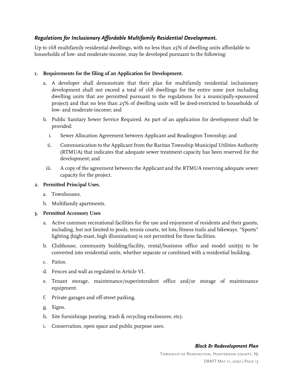#### <span id="page-17-0"></span>*Regulations for Inclusionary Affordable Multifamily Residential Development.*

Up to 168 multifamily residential dwellings, with no less than 25% of dwelling units affordable to households of low- and moderate-income, may be developed pursuant to the following:

#### **1. Requirements for the filing of an Application for Development.**

- a. A developer shall demonstrate that their plan for multifamily residential inclusionary development shall not exceed a total of 168 dwellings for the entire zone (not including dwelling units that are permitted pursuant to the regulations for a municipally-sponsored project) and that no less than 25% of dwelling units will be deed-restricted to households of low- and moderate-income; and
- b. Public Sanitary Sewer Service Required. As part of an application for development shall be provided:
	- i. Sewer Allocation Agreement between Applicant and Readington Township; and
	- ii. Communication to the Applicant from the Raritan Township Municipal Utilities Authority (RTMUA) that indicates that adequate sewer treatment capacity has been reserved for the development; and
- iii. A copy of the agreement between the Applicant and the RTMUA reserving adequate sewer capacity for the project.

#### **2. Permitted Principal Uses.**

- a. Townhouses.
- b. Multifamily apartments.

#### **3. Permitted Accessory Uses**

- a. Active common recreational facilities for the use and enjoyment of residents and their guests, including, but not limited to pools, tennis courts, tot lots, fitness trails and bikeways. "Sports" lighting (high-mast, high illumination) is not permitted for these facilities.
- b. Clubhouse, community building/facility, rental/business office and model unit(s) to be converted into residential units, whether separate or combined with a residential building.
- c. Patios.
- d. Fences and wall as regulated in Article VI.
- e. Tenant storage, maintenance/superintendent office and/or storage of maintenance equipment.
- f. Private garages and off-street parking.
- g. Signs.
- h. Site furnishings (seating, trash & recycling enclosures, etc).
- i. Conservation, open space and public purpose uses.

# *Block 81 Redevelopment Plan*

Township of Readington, Hunterdon county, NJ DRAFT May 11, 2022 | Page 13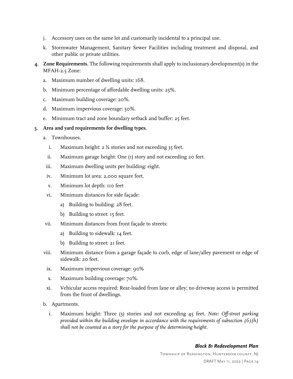- j. Accessory uses on the same lot and customarily incidental to a principal use.
- k. Stormwater Management, Sanitary Sewer Facilities including treatment and disposal, and other public or private utilities.
- **4. Zone Requirements.** The following requirements shall apply to inclusionary development(s) in the MFAH-2.5 Zone:
	- a. Maximum number of dwelling units: 168.
	- b. Minimum percentage of affordable dwelling units: 25%.
	- c. Maximum building coverage: 20%.
	- d. Maximum impervious coverage: 50%.
	- e. Minimum tract and zone boundary setback and buffer: 25 feet.

#### **5. Area and yard requirements for dwelling types.**

- a. Townhouses.
	- i. Maximum height: 2 ½ stories and not exceeding 35 feet.
	- ii. Maximum garage height: One (1) story and not exceeding 20 feet.
- iii. Maximum dwelling units per building: eight.
- iv. Minimum lot area: 2,000 square feet.
- v. Minimum lot depth: 110 feet
- vi. Minimum distances for side façade:
	- a) Building to building: 28 feet.
	- b) Building to street: 15 feet.
- vii. Minimum distances from front façade to streets:
	- a) Building to sidewalk: 14 feet.
	- b) Building to street: 21 feet.
- viii. Minimum distance from a garage façade to curb, edge of lane/alley pavement or edge of sidewalk: 20 feet.
- ix. Maximum impervious coverage: 90%
- x. Maximum building coverage: 70%.
- xi. Vehicular access required: Rear-loaded from lane or alley; no driveway access is permitted from the front of dwellings.
- b. Apartments.
	- i. Maximum height: Three (3) stories and not exceeding 45 feet. *Note: Off-street parking provided within the building envelope in accordance with the requirements of subsection (6)(h) shall not be counted as a story for the purpose of the determining height.*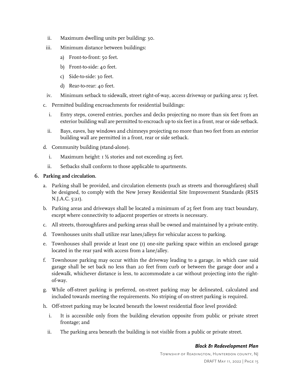- ii. Maximum dwelling units per building: 30.
- iii. Minimum distance between buildings:
	- a) Front-to-front: 50 feet.
	- b) Front-to-side: 40 feet.
	- c) Side-to-side: 30 feet.
	- d) Rear-to-rear: 40 feet.
- iv. Minimum setback to sidewalk, street right-of-way, access driveway or parking area: 15 feet.
- c. Permitted building encroachments for residential buildings:
	- i. Entry steps, covered entries, porches and decks projecting no more than six feet from an exterior building wall are permitted to encroach up to six feet in a front, rear or side setback.
	- ii. Bays, eaves, bay windows and chimneys projecting no more than two feet from an exterior building wall are permitted in a front, rear or side setback.
- d. Community building (stand-alone).
	- i. Maximum height: 1 ½ stories and not exceeding 25 feet.
	- ii. Setbacks shall conform to those applicable to apartments.

#### **6. Parking and circulation.**

- a. Parking shall be provided, and circulation elements (such as streets and thoroughfares) shall be designed, to comply with the New Jersey Residential Site Improvement Standards (RSIS N.J.A.C. 5:21).
- b. Parking areas and driveways shall be located a minimum of 25 feet from any tract boundary, except where connectivity to adjacent properties or streets is necessary.
- c. All streets, thoroughfares and parking areas shall be owned and maintained by a private entity.
- d. Townhouses units shall utilize rear lanes/alleys for vehicular access to parking.
- e. Townhouses shall provide at least one (1) one-site parking space within an enclosed garage located in the rear yard with access from a lane/alley.
- f. Townhouse parking may occur within the driveway leading to a garage, in which case said garage shall be set back no less than 20 feet from curb or between the garage door and a sidewalk, whichever distance is less, to accommodate a car without projecting into the rightof-way.
- g. While off-street parking is preferred, on-street parking may be delineated, calculated and included towards meeting the requirements. No striping of on-street parking is required.
- h. Off-street parking may be located beneath the lowest residential floor level provided:
	- i. It is accessible only from the building elevation opposite from public or private street frontage; and
	- ii. The parking area beneath the building is not visible from a public or private street.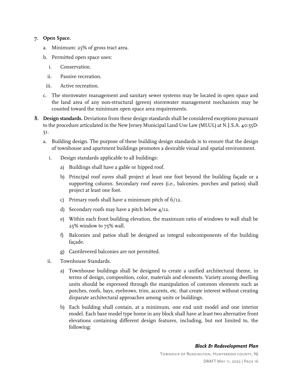#### **7. Open Space.**

- a. Minimum: 25% of gross tract area.
- b. Permitted open space uses:
	- i. Conservation.
	- ii. Passive recreation.
- iii. Active recreation.
- c. The stormwater management and sanitary sewer systems may be located in open space and the land area of any non-structural (green) stormwater management mechanism may be counted toward the minimum open space area requirements.
- **8. Design standards.** Deviations from these design standards shall be considered exceptions pursuant to the procedure articulated in the New Jersey Municipal Land Use Law (MLUL) at N.J.S.A. 40:55D-51.
	- a. Building design. The purpose of these building design standards is to ensure that the design of townhouse and apartment buildings promotes a desirable visual and spatial environment.
		- i. Design standards applicable to all buildings:
			- a) Buildings shall have a gable or hipped roof.
			- b) Principal roof eaves shall project at least one foot beyond the building façade or a supporting column. Secondary roof eaves (i.e., balconies, porches and patios) shall project at least one foot.
			- c) Primary roofs shall have a minimum pitch of 6/12.
			- d) Secondary roofs may have a pitch below 4/12.
			- e) Within each front building elevation, the maximum ratio of windows to wall shall be 25% window to 75% wall.
			- f) Balconies and patios shall be designed as integral subcomponents of the building façade.
			- g) Cantilevered balconies are not permitted.
		- ii. Townhouse Standards.
			- a) Townhouse buildings shall be designed to create a unified architectural theme, in terms of design, composition, color, materials and elements. Variety among dwelling units should be expressed through the manipulation of common elements such as porches, roofs, bays, eyebrows, trim, accents, etc. that create interest without creating disparate architectural approaches among units or buildings.
			- b) Each building shall contain, at a minimum, one end unit model and one interior model. Each base model type home in any block shall have at least two alternative front elevations containing different design features, including, but not limited to, the following: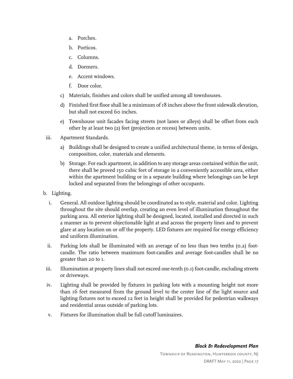- a. Porches.
- b. Porticos.
- c. Columns.
- d. Dormers.
- e. Accent windows.
- f. Door color.
- c) Materials, finishes and colors shall be unified among all townhouses.
- d) Finished first floor shall be a minimum of 18 inches above the front sidewalk elevation, but shall not exceed 60 inches.
- e) Townhouse unit facades facing streets (not lanes or alleys) shall be offset from each other by at least two (2) feet (projection or recess) between units.
- iii. Apartment Standards.
	- a) Buildings shall be designed to create a unified architectural theme, in terms of design, composition, color, materials and elements.
	- b) Storage. For each apartment, in addition to any storage areas contained within the unit, there shall be proved 150 cubic feet of storage in a conveniently accessible area, either within the apartment building or in a separate building where belongings can be kept locked and separated from the belongings of other occupants.
- b. Lighting.
	- i. General. All outdoor lighting should be coordinated as to style, material and color. Lighting throughout the site should overlap, creating an even level of illumination throughout the parking area. All exterior lighting shall be designed, located, installed and directed in such a manner as to prevent objectionable light at and across the property lines and to prevent glare at any location on or off the property. LED fixtures are required for energy efficiency and uniform illumination.
	- ii. Parking lots shall be illuminated with an average of no less than two tenths (0.2) footcandle. The ratio between maximum foot-candles and average foot-candles shall be no greater than 20 to 1.
- iii. Illumination at property lines shall not exceed one-tenth (0.1) foot-candle, excluding streets or driveways.
- iv. Lighting shall be provided by fixtures in parking lots with a mounting height not more than 16 feet measured from the ground level to the center line of the light source and lighting fixtures not to exceed 12 feet in height shall be provided for pedestrian walkways and residential areas outside of parking lots.
- v. Fixtures for illumination shall be full cutoff luminaires.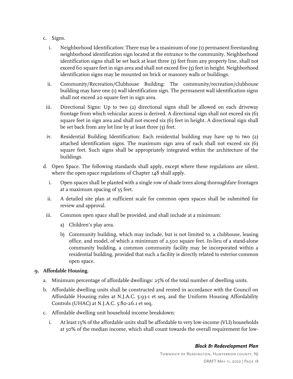- c. Signs.
	- i. Neighborhood Identification: There may be a maximum of one (1) permanent freestanding neighborhood identification sign located at the entrance to the community. Neighborhood identification signs shall be set back at least three (3) feet from any property line, shall not exceed 60 square feet in sign area and shall not exceed five (5) feet in height. Neighborhood identification signs may be mounted on brick or masonry walls or buildings.
	- ii. Community/Recreation/Clubhouse Building: The community/recreation/clubhouse building may have one (1) wall identification sign. The permanent wall identification signs shall not exceed 20 square feet in sign area.
- iii. Directional Signs: Up to two (2) directional signs shall be allowed on each driveway frontage from which vehicular access is derived. A directional sign shall not exceed six (6) square feet in sign area and shall not exceed six (6) feet in height. A directional sign shall be set back from any lot line by at least three (3) feet.
- iv. Residential Building Identification: Each residential building may have up to two (2) attached identification signs. The maximum sign area of each shall not exceed six (6) square feet. Such signs shall be appropriately integrated within the architecture of the buildings.
- d. Open Space. The following standards shall apply, except where these regulations are silent, where the open space regulations of Chapter 148 shall apply.
	- i. Open spaces shall be planted with a single row of shade trees along thoroughfare frontages at a maximum spacing of 35 feet.
	- ii. A detailed site plan at sufficient scale for common open spaces shall be submitted for review and approval.
- iii. Common open space shall be provided, and shall include at a minimum:
	- a) Children's play area.
	- b) Community building, which may include, but is not limited to, a clubhouse, leasing office, and model, of which a minimum of 2,500 square feet. In-lieu of a stand-alone community building, a common community facility may be incorporated within a residential building, provided that such a facility is directly related to exterior common open space.

#### **9. Affordable Housing.**

- a. Minimum percentage of affordable dwellings: 25% of the total number of dwelling units.
- b. Affordable dwelling units shall be constructed and rented in accordance with the Council on Affordable Housing rules at N.J.A.C. 5:93-1 et seq. and the Uniform Housing Affordability Controls (UHAC) at N.J.A.C. 5:80-26.1 et seq.
- c. Affordable dwelling unit household income breakdown:
	- i. At least 13% of the affordable units shall be affordable to very low-income (VLI) households at 30% of the median income, which shall count towards the overall requirement for low-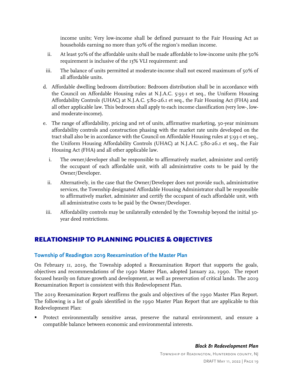income units; Very low-income shall be defined pursuant to the Fair Housing Act as households earning no more than 30% of the region's median income.

- ii. At least 50% of the affordable units shall be made affordable to low-income units (the 50% requirement is inclusive of the 13% VLI requirement: and
- iii. The balance of units permitted at moderate-income shall not exceed maximum of 50% of all affordable units.
- d. Affordable dwelling bedroom distribution: Bedroom distribution shall be in accordance with the Council on Affordable Housing rules at N.J.A.C. 5:93-1 et seq., the Uniform Housing Affordability Controls (UHAC) at N.J.A.C. 5:80-26.1 et seq., the Fair Housing Act (FHA) and all other applicable law. This bedroom shall apply to each income classification (very low-, lowand moderate-income).
- e. The range of affordability, pricing and ret of units, affirmative marketing, 30-year minimum affordability controls and construction phasing with the market rate units developed on the tract shall also be in accordance with the Council on Affordable Housing rules at 5:93-1 et seq., the Uniform Housing Affordability Controls (UHAC) at N.J.A.C. 5:80-26.1 et seq., the Fair Housing Act (FHA) and all other applicable law.
	- i. The owner/developer shall be responsible to affirmatively market, administer and certify the occupant of each affordable unit, with all administrative costs to be paid by the Owner/Developer.
	- ii. Alternatively, in the case that the Owner/Developer does not provide such, administrative services, the Township designated Affordable Housing Administrator shall be responsible to affirmatively market, administer and certify the occupant of each affordable unit, with all administrative costs to be paid by the Owner/Developer.
- iii. Affordability controls may be unilaterally extended by the Township beyond the initial 30 year deed restrictions.

# <span id="page-23-0"></span>RELATIONSHIP TO PLANNING POLICIES & OBJECTIVES

#### <span id="page-23-1"></span>**Township of Readington 2019 Reexamination of the Master Plan**

On February 11, 2019, the Township adopted a Reexamination Report that supports the goals, objectives and recommendations of the 1990 Master Plan, adopted January 22, 1990. The report focused heavily on future growth and development, as well as preservation of critical lands. The 2019 Reexamination Report is consistent with this Redevelopment Plan.

The 2019 Reexamination Report reaffirms the goals and objectives of the 1990 Master Plan Report. The following is a list of goals identified in the 1990 Master Plan Report that are applicable to this Redevelopment Plan:

 Protect environmentally sensitive areas, preserve the natural environment, and ensure a compatible balance between economic and environmental interests.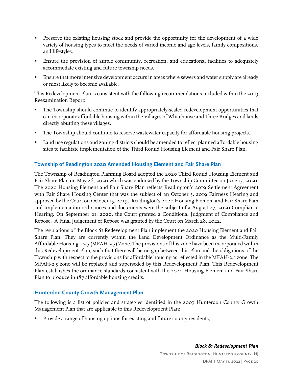- **Preserve the existing housing stock and provide the opportunity for the development of a wide** variety of housing types to meet the needs of varied income and age levels, family compositions, and lifestyles.
- Ensure the provision of ample community, recreation, and educational facilities to adequately accommodate existing and future township needs.
- Ensure that more intensive development occurs in areas where sewers and water supply are already or most likely to become available.

This Redevelopment Plan is consistent with the following recommendations included within the 2019 Reexamination Report:

- The Township should continue to identify appropriately-scaled redevelopment opportunities that can incorporate affordable housing within the Villages of Whitehouse and Three Bridges and lands directly abutting these villages.
- The Township should continue to reserve wastewater capacity for affordable housing projects.
- Land use regulations and zoning districts should be amended to reflect planned affordable housing sites to facilitate implementation of the Third Round Housing Element and Fair Share Plan.

#### <span id="page-24-0"></span>**Township of Readington 2020 Amended Housing Element and Fair Share Plan**

The Township of Readington Planning Board adopted the 2020 Third Round Housing Element and Fair Share Plan on May 26, 2020 which was endorsed by the Township Committee on June 15, 2020. The 2020 Housing Element and Fair Share Plan reflects Readington's 2019 Settlement Agreement with Fair Share Housing Center that was the subject of an October 3, 2019 Fairness Hearing and approved by the Court on October 15, 2019. Readington's 2020 Housing Element and Fair Share Plan and implementation ordinances and documents were the subject of a August 27, 2020 Compliance Hearing. On September 21, 2020, the Court granted a Conditional Judgment of Compliance and Repose. A Final Judgement of Repose was granted by the Court on March 28, 2022.

The regulations of the Block 81 Redevelopment Plan implement the 2020 Housing Element and Fair Share Plan. They are currently within the Land Development Ordinance as the Multi-Family Affordable Housing – 2.5 (MFAH-2.5) Zone. The provisions of this zone have been incorporated within this Redevelopment Plan, such that there will be no gap between this Plan and the obligations of the Township with respect to the provisions for affordable housing as reflected in the MFAH-2.5 zone. The MFAH-2.5 zone will be replaced and superseded by this Redevelopment Plan. This Redevelopment Plan establishes the ordinance standards consistent with the 2020 Housing Element and Fair Share Plan to produce in 187 affordable housing credits.

#### <span id="page-24-1"></span>**Hunterdon County Growth Management Plan**

The following is a list of policies and strategies identified in the 2007 Hunterdon County Growth Management Plan that are applicable to this Redevelopment Plan:

Provide a range of housing options for existing and future county residents;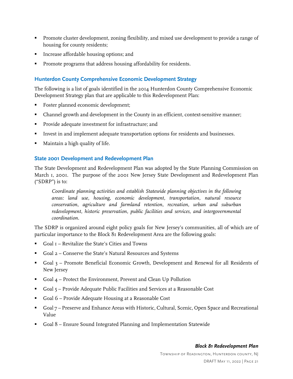- **Promote cluster development, zoning flexibility, and mixed use development to provide a range of** housing for county residents;
- **Increase affordable housing options; and**
- Promote programs that address housing affordability for residents.

#### <span id="page-25-0"></span>**Hunterdon County Comprehensive Economic Development Strategy**

The following is a list of goals identified in the 2014 Hunterdon County Comprehensive Economic Development Strategy plan that are applicable to this Redevelopment Plan:

- Foster planned economic development;
- Channel growth and development in the County in an efficient, context-sensitive manner;
- **Provide adequate investment for infrastructure; and**
- Invest in and implement adequate transportation options for residents and businesses.
- Maintain a high quality of life.

#### <span id="page-25-1"></span>**State 2001 Development and Redevelopment Plan**

The State Development and Redevelopment Plan was adopted by the State Planning Commission on March 1, 2001. The purpose of the 2001 New Jersey State Development and Redevelopment Plan ("SDRP") is to:

*Coordinate planning activities and establish Statewide planning objectives in the following areas: land use, housing, economic development, transportation, natural resource conservation, agriculture and farmland retention, recreation, urban and suburban redevelopment, historic preservation, public facilities and services, and intergovernmental coordination.*

The SDRP is organized around eight policy goals for New Jersey's communities, all of which are of particular importance to the Block 81 Redevelopment Area are the following goals:

- Goal 1 Revitalize the State's Cities and Towns
- Goal 2 Conserve the State's Natural Resources and Systems
- Goal 3 Promote Beneficial Economic Growth, Development and Renewal for all Residents of New Jersey
- Goal 4 Protect the Environment, Prevent and Clean Up Pollution
- Goal 5 Provide Adequate Public Facilities and Services at a Reasonable Cost
- Goal 6 Provide Adequate Housing at a Reasonable Cost
- Goal 7 Preserve and Enhance Areas with Historic, Cultural, Scenic, Open Space and Recreational Value
- Goal 8 Ensure Sound Integrated Planning and Implementation Statewide

#### *Block 81 Redevelopment Plan*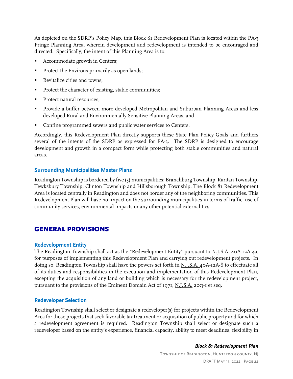As depicted on the SDRP's Policy Map, this Block 81 Redevelopment Plan is located within the PA-3 Fringe Planning Area, wherein development and redevelopment is intended to be encouraged and directed. Specifically, the intent of this Planning Area is to:

- Accommodate growth in Centers;
- Protect the Environs primarily as open lands;
- Revitalize cities and towns:
- Protect the character of existing, stable communities;
- Protect natural resources;
- Provide a buffer between more developed Metropolitan and Suburban Planning Areas and less developed Rural and Environmentally Sensitive Planning Areas; and
- Confine programmed sewers and public water services to Centers.

Accordingly, this Redevelopment Plan directly supports these State Plan Policy Goals and furthers several of the intents of the SDRP as expressed for PA-3. The SDRP is designed to encourage development and growth in a compact form while protecting both stable communities and natural areas.

#### <span id="page-26-0"></span>**Surrounding Municipalities Master Plans**

Readington Township is bordered by five (5) municipalities: Branchburg Township, Raritan Township, Tewksbury Township, Clinton Township and Hillsborough Township. The Block 81 Redevelopment Area is located centrally in Readington and does not border any of the neighboring communities. This Redevelopment Plan will have no impact on the surrounding municipalities in terms of traffic, use of community services, environmental impacts or any other potential externalities.

# <span id="page-26-1"></span>GENERAL PROVISIONS

#### <span id="page-26-2"></span>**Redevelopment Entity**

The Readington Township shall act as the "Redevelopment Entity" pursuant to N.J.S.A. 40A-12A-4.c for purposes of implementing this Redevelopment Plan and carrying out redevelopment projects. In doing so, Readington Township shall have the powers set forth in N.J.S.A. 40A-12A-8 to effectuate all of its duties and responsibilities in the execution and implementation of this Redevelopment Plan, excepting the acquisition of any land or building which is necessary for the redevelopment project, pursuant to the provisions of the Eminent Domain Act of 1971, N.J.S.A. 20:3-1 et seq.

#### <span id="page-26-3"></span>**Redeveloper Selection**

Readington Township shall select or designate a redeveloper(s) for projects within the Redevelopment Area for those projects that seek favorable tax treatment or acquisition of public property and for which a redevelopment agreement is required. Readington Township shall select or designate such a redeveloper based on the entity's experience, financial capacity, ability to meet deadlines, flexibility in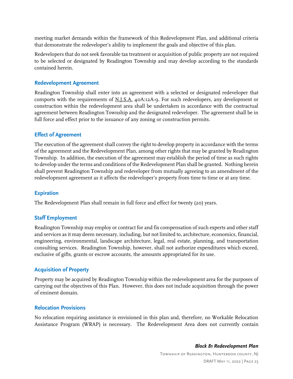meeting market demands within the framework of this Redevelopment Plan, and additional criteria that demonstrate the redeveloper's ability to implement the goals and objective of this plan.

Redevelopers that do not seek favorable tax treatment or acquisition of public property are not required to be selected or designated by Readington Township and may develop according to the standards contained herein.

#### <span id="page-27-0"></span>**Redevelopment Agreement**

Readington Township shall enter into an agreement with a selected or designated redeveloper that comports with the requirements of N.J.S.A. 40A:12A-9. For such redevelopers, any development or construction within the redevelopment area shall be undertaken in accordance with the contractual agreement between Readington Township and the designated redeveloper. The agreement shall be in full force and effect prior to the issuance of any zoning or construction permits.

#### <span id="page-27-1"></span>**Effect of Agreement**

The execution of the agreement shall convey the right to develop property in accordance with the terms of the agreement and the Redevelopment Plan, among other rights that may be granted by Readington Township. In addition, the execution of the agreement may establish the period of time as such rights to develop under the terms and conditions of the Redevelopment Plan shall be granted. Nothing herein shall prevent Readington Township and redeveloper from mutually agreeing to an amendment of the redevelopment agreement as it affects the redeveloper's property from time to time or at any time.

#### <span id="page-27-2"></span>**Expiration**

The Redevelopment Plan shall remain in full force and effect for twenty (20) years.

#### <span id="page-27-3"></span>**Staff Employment**

Readington Township may employ or contract for and fix compensation of such experts and other staff and services as it may deem necessary, including, but not limited to, architecture, economics, financial, engineering, environmental, landscape architecture, legal, real estate, planning, and transportation consulting services. Readington Township, however, shall not authorize expenditures which exceed, exclusive of gifts, grants or escrow accounts, the amounts appropriated for its use.

#### <span id="page-27-4"></span>**Acquisition of Property**

Property may be acquired by Readington Township within the redevelopment area for the purposes of carrying out the objectives of this Plan. However, this does not include acquisition through the power of eminent domain.

#### <span id="page-27-5"></span>**Relocation Provisions**

No relocation requiring assistance is envisioned in this plan and, therefore, no Workable Relocation Assistance Program (WRAP) is necessary. The Redevelopment Area does not currently contain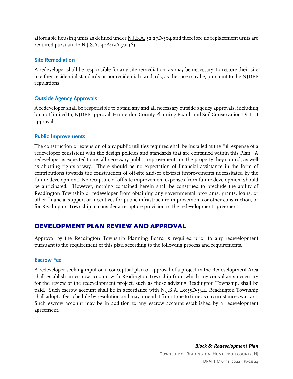affordable housing units as defined under  $N.J.S.A.$  52:27D-304 and therefore no replacement units are required pursuant to N.J.S.A. 40A:12A-7.a (6).

#### <span id="page-28-0"></span>**Site Remediation**

A redeveloper shall be responsible for any site remediation, as may be necessary, to restore their site to either residential standards or nonresidential standards, as the case may be, pursuant to the NJDEP regulations.

#### <span id="page-28-1"></span>**Outside Agency Approvals**

A redeveloper shall be responsible to obtain any and all necessary outside agency approvals, including but not limited to, NJDEP approval, Hunterdon County Planning Board, and Soil Conservation District approval.

#### <span id="page-28-2"></span>**Public Improvements**

The construction or extension of any public utilities required shall be installed at the full expense of a redeveloper consistent with the design policies and standards that are contained within this Plan. A redeveloper is expected to install necessary public improvements on the property they control, as well as abutting rights-of-way. There should be no expectation of financial assistance in the form of contributions towards the construction of off-site and/or off-tract improvements necessitated by the future development. No recapture of off-site improvement expenses from future development should be anticipated. However, nothing contained herein shall be construed to preclude the ability of Readington Township or redeveloper from obtaining any governmental programs, grants, loans, or other financial support or incentives for public infrastructure improvements or other construction, or for Readington Township to consider a recapture provision in the redevelopment agreement.

# DEVELOPMENT PLAN REVIEW AND APPROVAL

Approval by the Readington Township Planning Board is required prior to any redevelopment pursuant to the requirement of this plan according to the following process and requirements.

#### <span id="page-28-3"></span>**Escrow Fee**

A redeveloper seeking input on a conceptual plan or approval of a project in the Redevelopment Area shall establish an escrow account with Readington Township from which any consultants necessary for the review of the redevelopment project, such as those advising Readington Township, shall be paid. Such escrow account shall be in accordance with N.J.S.A. 40:55D-53.2. Readington Township shall adopt a fee schedule by resolution and may amend it from time to time as circumstances warrant. Such escrow account may be in addition to any escrow account established by a redevelopment agreement.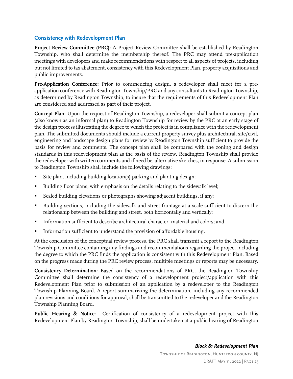#### <span id="page-29-0"></span>**Consistency with Redevelopment Plan**

**Project Review Committee (PRC):** A Project Review Committee shall be established by Readington Township, who shall determine the membership thereof. The PRC may attend pre-application meetings with developers and make recommendations with respect to all aspects of projects, including but not limited to tax abatement, consistency with this Redevelopment Plan, property acquisitions and public improvements.

Pre-Application Conference: Prior to commencing design, a redeveloper shall meet for a preapplication conference with Readington Township/PRC and any consultants to Readington Township, as determined by Readington Township, to insure that the requirements of this Redevelopment Plan are considered and addressed as part of their project.

**Concept Plan:** Upon the request of Readington Township, a redeveloper shall submit a concept plan (also known as an informal plan) to Readington Township for review by the PRC at an early stage of the design process illustrating the degree to which the project is in compliance with the redevelopment plan. The submitted documents should include a current property survey plus architectural, site/civil, engineering and landscape design plans for review by Readington Township sufficient to provide the basis for review and comments. The concept plan shall be compared with the zoning and design standards in this redevelopment plan as the basis of the review. Readington Township shall provide the redeveloper with written comments and if need be, alternative sketches, in response. A submission to Readington Township shall include the following drawings:

- Site plan, including building location(s) parking and planting design;
- Building floor plans, with emphasis on the details relating to the sidewalk level;
- Scaled building elevations or photographs showing adjacent buildings, if any;
- Building sections, including the sidewalk and street frontage at a scale sufficient to discern the relationship between the building and street, both horizontally and vertically;
- Information sufficient to describe architectural character, material and colors; and
- Information sufficient to understand the provision of affordable housing.

At the conclusion of the conceptual review process, the PRC shall transmit a report to the Readington Township Committee containing any findings and recommendations regarding the project including the degree to which the PRC finds the application is consistent with this Redevelopment Plan. Based on the progress made during the PRC review process, multiple meetings or reports may be necessary.

**Consistency Determination:** Based on the recommendations of PRC, the Readington Township Committee shall determine the consistency of a redevelopment project/application with this Redevelopment Plan prior to submission of an application by a redeveloper to the Readington Township Planning Board. A report summarizing the determination, including any recommended plan revisions and conditions for approval, shall be transmitted to the redeveloper and the Readington Township Planning Board.

Public Hearing & Notice: Certification of consistency of a redevelopment project with this Redevelopment Plan by Readington Township, shall be undertaken at a public hearing of Readington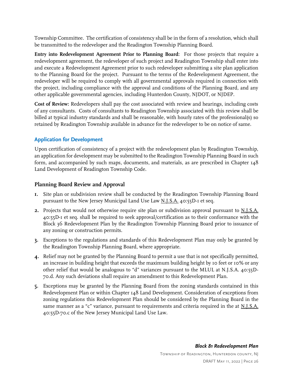Township Committee. The certification of consistency shall be in the form of a resolution, which shall be transmitted to the redeveloper and the Readington Township Planning Board.

**Entry into Redevelopment Agreement Prior to Planning Board:** For those projects that require a redevelopment agreement, the redeveloper of such project and Readington Township shall enter into and execute a Redevelopment Agreement prior to such redeveloper submitting a site plan application to the Planning Board for the project. Pursuant to the terms of the Redevelopment Agreement, the redeveloper will be required to comply with all governmental approvals required in connection with the project, including compliance with the approval and conditions of the Planning Board, and any other applicable governmental agencies, including Hunterdon County, NJDOT, or NJDEP.

**Cost of Review:** Redevelopers shall pay the cost associated with review and hearings, including costs of any consultants. Costs of consultants to Readington Township associated with this review shall be billed at typical industry standards and shall be reasonable, with hourly rates of the professional(s) so retained by Readington Township available in advance for the redeveloper to be on notice of same.

### <span id="page-30-0"></span>**Application for Development**

Upon certification of consistency of a project with the redevelopment plan by Readington Township, an application for development may be submitted to the Readington Township Planning Board in such form, and accompanied by such maps, documents, and materials, as are prescribed in Chapter  $148$ Land Development of Readington Township Code.

#### <span id="page-30-1"></span>**Planning Board Review and Approval**

- **1.** Site plan or subdivision review shall be conducted by the Readington Township Planning Board pursuant to the New Jersey Municipal Land Use Law N.J.S.A. 40:55D-1 et seq.
- **2.** Projects that would not otherwise require site plan or subdivision approval pursuant to N.J.S.A. 40:55D-1 et seq. shall be required to seek approval/certification as to their conformance with the Block 36 Redevelopment Plan by the Readington Township Planning Board prior to issuance of any zoning or construction permits.
- **3.** Exceptions to the regulations and standards of this Redevelopment Plan may only be granted by the Readington Township Planning Board, where appropriate.
- **4.** Relief may not be granted by the Planning Board to permit a use that is not specifically permitted, an increase in building height that exceeds the maximum building height by 10 feet or 10% or any other relief that would be analogous to "d" variances pursuant to the MLUL at N.J.S.A. 40:55D-70.d. Any such deviations shall require an amendment to this Redevelopment Plan.
- **5.** Exceptions may be granted by the Planning Board from the zoning standards contained in this Redevelopment Plan or within Chapter 148 Land Development. Consideration of exceptions from zoning regulations this Redevelopment Plan should be considered by the Planning Board in the same manner as a "c" variance, pursuant to requirements and criteria required in the at N.J.S.A. 40:55D-70.c of the New Jersey Municipal Land Use Law.